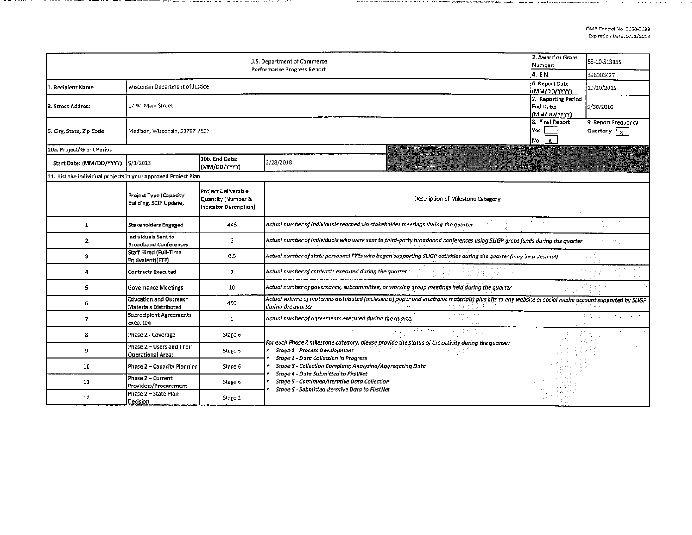| U.S. Department of Commerce<br>Performance Progress Report     |                                                               |                                                                     |                                                                                                                                                                                |  | 55-10-S13055 |  |  |
|----------------------------------------------------------------|---------------------------------------------------------------|---------------------------------------------------------------------|--------------------------------------------------------------------------------------------------------------------------------------------------------------------------------|--|--------------|--|--|
|                                                                | 4. EIN:                                                       | 396006427                                                           |                                                                                                                                                                                |  |              |  |  |
| 1. Recipient Name                                              | Wisconsin Department of Justice                               | 6. Report Date<br>(MM/DD/YYYY)                                      | 10/20/2016                                                                                                                                                                     |  |              |  |  |
| 3. Street Address                                              | 17 W. Main Street                                             | 7. Reporting Period<br><b>End Date:</b><br>(MM/DD/YYYY)             | 9/30/2016                                                                                                                                                                      |  |              |  |  |
| 5. City, State, Zip Code                                       |                                                               | Madison, Wisconsin, 53707-7857                                      |                                                                                                                                                                                |  |              |  |  |
| 10a. Project/Grant Period                                      |                                                               |                                                                     |                                                                                                                                                                                |  |              |  |  |
| Start Date: (MM/DD/YYYY) 9/1/2013                              |                                                               | 10b. End Date:<br>(MM/DD/YYYY)                                      | 2/28/2018                                                                                                                                                                      |  |              |  |  |
| 11. List the individual projects in your approved Project Plan |                                                               |                                                                     |                                                                                                                                                                                |  |              |  |  |
|                                                                | <b>Project Type (Capacity</b><br>Building, SCIP Update,       | Project Deliverable<br>Quantity (Number &<br>Indicator Description) | Description of Milestone Category                                                                                                                                              |  |              |  |  |
| $\mathbf{1}$                                                   | <b>Stakeholders Engaged</b>                                   | 446                                                                 | Actual number of individuals reached via stakeholder meetings during the quarter-                                                                                              |  | a care they  |  |  |
| $\mathbf{z}$                                                   | Individuals Sent to<br><b>Broadband Conferences</b>           | $\overline{2}$                                                      | Actual number of individuals who were sent to third-party broadband conferences using SLIGP grant funds during the quarter                                                     |  |              |  |  |
| 3                                                              | Staff Hired (Full-Time<br>Equivalent)(FTE)                    | 0.5                                                                 | Actual number of state personnel FTEs who began supporting SLIGP activities during the quarter (may be a decimal)                                                              |  |              |  |  |
| 4                                                              | <b>Contracts Executed</b>                                     | $\mathbf{1}$                                                        | Actual number of contracts executed during the quarter.                                                                                                                        |  |              |  |  |
| 5                                                              | <b>Governance Meetings</b>                                    | 10                                                                  | Actual number of governance, subcommittee, or working group meetings held during the quarter                                                                                   |  |              |  |  |
| 6                                                              | <b>Education and Outreach</b><br><b>Materials Distributed</b> | 450                                                                 | Actual volume of materials distributed (inclusive of paper and electronic materials) plus hits to any website or social media account supported by SLIGP<br>during the quarter |  |              |  |  |
| 7                                                              | Subrecipient Agreements<br><b>Executed</b>                    | $\overline{0}$                                                      | Actual number of agreements executed during the quarter                                                                                                                        |  |              |  |  |
| 8                                                              | Phase 2 - Coverage                                            | Stage 6                                                             | For each Phase 2 milestone category, please provide the status of the activity during the quarter:                                                                             |  |              |  |  |
| 9                                                              | Phase 2 - Users and Their<br><b>Operational Areas</b>         | Stage 6                                                             | Stage 1 - Process Development<br><b>Stage 2 - Data Collection in Progress</b>                                                                                                  |  |              |  |  |
| 10                                                             | Phase 2 - Capacity Planning                                   | Stage 6                                                             | Stage 3 - Collection Complete; Analyzing/Aggregating Data<br><b>Stage 4 - Data Submitted to FirstNet</b>                                                                       |  |              |  |  |
| 11                                                             | Phase 2 - Current<br>Providers/Procurement                    | Stage 6                                                             | <b>Stage 5 - Continued/Iterative Data Collection</b><br>Stage 6 - Submitted Iterative Data to FirstNet                                                                         |  |              |  |  |
| 12                                                             | Phase 2 - State Plan<br>Decision                              | Stage 2                                                             |                                                                                                                                                                                |  |              |  |  |

 $\sim 10^6$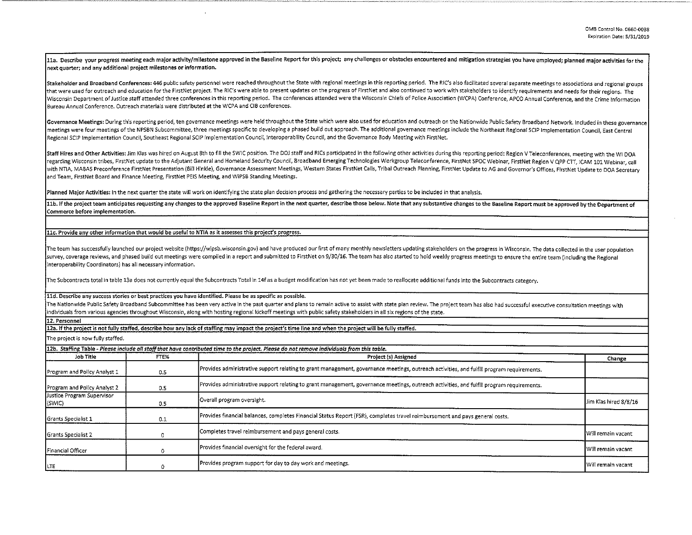11a. Describe your progress meeting each major activity/milestone approved in the Baseline Report for this project; any challenges or obstacles encountered and mitigation strategies you have employed; planned major activit next quarter; and any additional project milestones or information.

Stakeholder and Broadband Conferences: 446 public safety personnel were reached throughout the State with regional meetings in this reporting period. The RIC's also facilitated several separate meetings to associations and that were used for outreach and education for the FirstNet project. The RIC's were able to present updates on the progress of FirstNet and also continued to work with stakeholders to identify requirements and needs for the Wisconsin Department of Justice staff attended three conferences in this reporting period. The conferences attended were the Wisconsin Chiefs of Police Association (WCPA) Conference, APCO Annual Conference, and the Crime I Bureau Annual Conference. Outreach materials were distributed at the WCPA and CIB conferences.

Governance Meetings: During this reporting period, ten governance meetings were held throughout the State which were also used for education and outreach on the Nationwide Public Safety Broadband Network. Included in these meetings were four meetings of the NPSBN Subcommittee, three meetings specific to developing a phased build out approach. The additional governance meetings include the Northeast Regional SCIP Implementation Council. East Regional SCIP Implementation Council, Southeast Regional SCIP Implementation Council, Interoperability Council, and the Governance Body Meeting with FirstNet.

Staff Hires and Other Activities: Jim Klas was hired on August 8th to fill the SWIC position. The DOJ staff and RICs participated in the following other activities during this reporting period: Region V Teleconferences, me regarding Wisconsin tribes, FirstNet update to the Adjutant General and Homeland Security Council, Broadband Emerging Technologies Workgroup Teleconference, FirstNet SPOC Webinar, FirstNet Region V QPP CTT, ICAM 101 Webina with NTIA, MABAS Preconference FirstNet Presentation (Bill Hinkle), Governance Assessment Meetings, Western States FirstNet Calls, Tribal Outreach Planning, FirstNet Update to AG and Governor's Offices, FirstNet Update to and Team, FirstNet Board and Finance Meeting, FirstNet PEIS Meeting, and WiPSB Standing Meetings.

Planned Major Activities: In the next quarter the state will work on identifying the state plan decision process and gathering the necessary parties to be included in that analysis.

11b. If the project team anticipates requesting any changes to the approved Baseline Report in the next quarter, describe those below. Note that any substantive changes to the Baseline Report must be approved by the Depart Commerce before implementation.

## 11c. Provide any other information that would be useful to NTIA as it assesses this project's progress.

The team has successfully launched our project website (https://wipsb.wisconsin.gov) and have produced our first of many monthly newsletters updating stakeholders on the progress in Wisconsin. The data collected in the use survey, coverage reviews, and phased build out meetings were compiled in a report and submitted to FirstNet on 9/30/16. The team has also started to hold weekly progress meetings to ensure the entire team (including the Re Interoperability Coordinators) has all necessary information.

The Subcontracts total in table 13a does not currently equal the Subcontracts Total in 14f as a budget modification has not yet been made to reallocate additional funds into the Subcontracts category.

lld. Describe any success stories or best practices you have identified. Please be as specific as possible.

The Nationwide Public Safety Broadband Subcommittee has been very active in the past quarter and plans to remain active to assist with state plan review. The project team has also had successful executive consultation meet individuals from various agencies throughout Wisconsin, along with hosting regional kickoff meetings with public safety stakeholders in all six regions of the state.

12. Personnel

12a. If the project is not fully staffed, describe how any lack of staffing may impact the project's time line and when the project will be fully staffed.

The project is now fully staffed.

|                                      |      | 12b. Staffing Table - Please include all staff that have contributed time to the project. Please do not remove individuals from this table. |                       |
|--------------------------------------|------|---------------------------------------------------------------------------------------------------------------------------------------------|-----------------------|
| Job Title                            | FTE% | Project (s) Assigned                                                                                                                        | Change                |
| Program and Policy Analyst 1         | 0.5  | Provides administrative support relating to grant management, governance meetings, outreach activities, and fulfill program requirements.   |                       |
| Program and Policy Analyst 2         | 0.5  | Provides administrative support relating to grant management, governance meetings, outreach activities, and fulfill program requirements.   |                       |
| Justice Program Supervisor<br>(SWIC) | 0.5  | Overall program oversight.                                                                                                                  | Jim Klas hired 8/8/16 |
| Grants Specialist 1                  | 0.1  | Provides financial balances, completes Financial Status Report (FSR), completes travel reimbursement and pays general costs.                |                       |
| <b>Grants Specialist 2</b>           |      | Completes travel reimbursement and pays general costs.                                                                                      | Will remain vacant    |
| Financial Officer                    |      | Provides financial oversight for the federal award.                                                                                         | l Will remain vacant  |
| LTE                                  |      | Provides program support for day to day work and meetings.                                                                                  | Will remain vacant    |